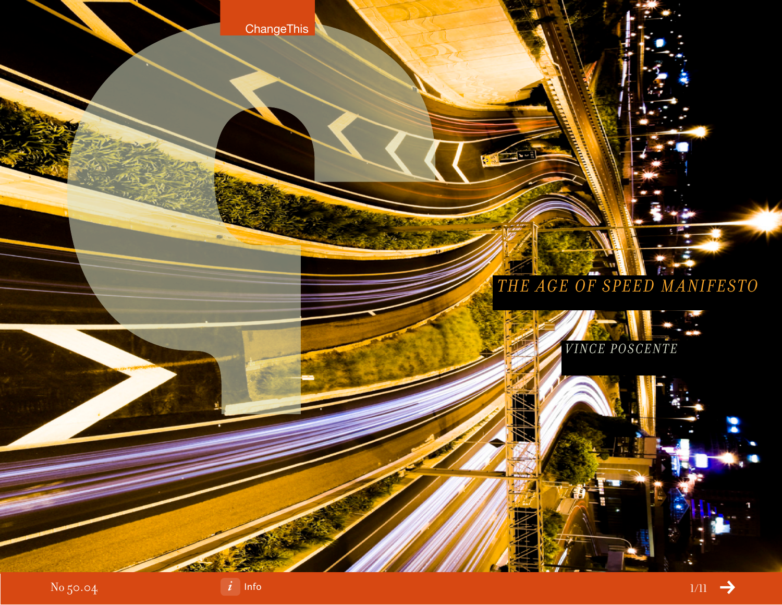**ChangeThis** 

# *The Age of Speed Manifesto*



 $-1$ 



No 50.04



[Info](#page-10-0) $1/11$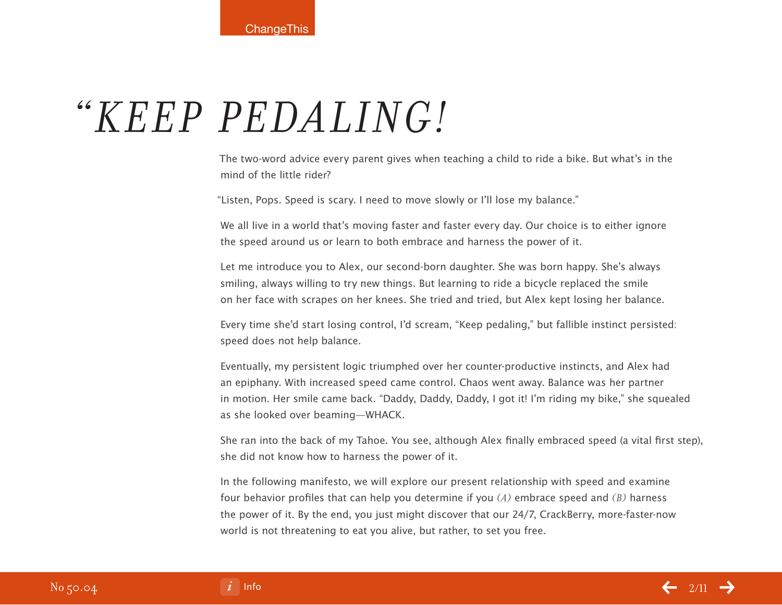# *"Keep pedaling!*

The two-word advice every parent gives when teaching a child to ride a bike. But what's in the mind of the little rider?

"Listen, Pops. Speed is scary. I need to move slowly or I'll lose my balance."

We all live in a world that's moving faster and faster every day. Our choice is to either ignore the speed around us or learn to both embrace and harness the power of it.

Let me introduce you to Alex, our second-born daughter. She was born happy. She's always smiling, always willing to try new things. But learning to ride a bicycle replaced the smile on her face with scrapes on her knees. She tried and tried, but Alex kept losing her balance.

Every time she'd start losing control, I'd scream, "Keep pedaling," but fallible instinct persisted: speed does not help balance.

Eventually, my persistent logic triumphed over her counter-productive instincts, and Alex had an epiphany. With increased speed came control. Chaos went away. Balance was her partner in motion. Her smile came back. "Daddy, Daddy, Daddy, I got it! I'm riding my bike," she squealed as she looked over beaming—WHACK.

She ran into the back of my Tahoe. You see, although Alex finally embraced speed (a vital first step), she did not know how to harness the power of it.

In the following manifesto, we will explore our present relationship with speed and examine four behavior profiles that can help you determine if you *(a)* embrace speed and *(B)* harness the power of it. By the end, you just might discover that our 24/7, CrackBerry, more-faster-now world is not threatening to eat you alive, but rather, to set you free.

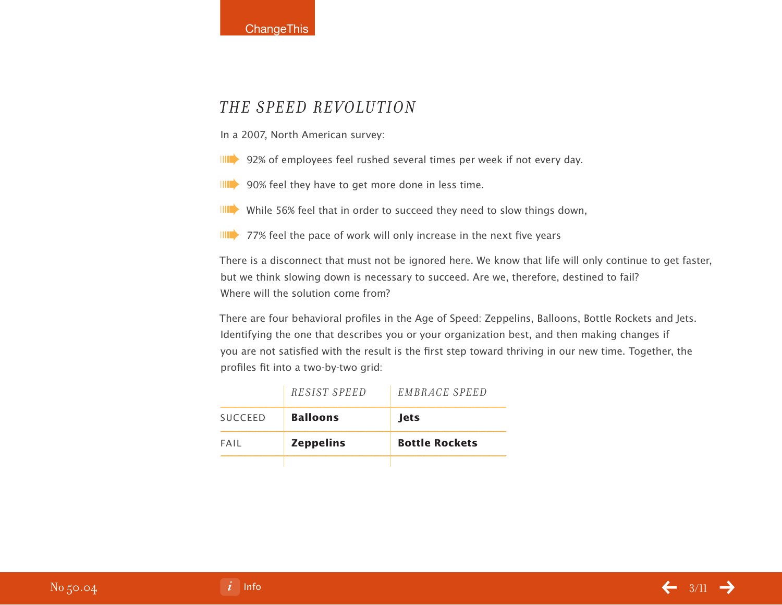

#### *The Speed Revolution*

In a 2007, North American survey:

**IIII** 92% of employees feel rushed several times per week if not every day.

**IIII** 90% feel they have to get more done in less time.

**IIII** While 56% feel that in order to succeed they need to slow things down,

 $\parallel$  77% feel the pace of work will only increase in the next five years

There is a disconnect that must not be ignored here. We know that life will only continue to get faster, but we think slowing down is necessary to succeed. Are we, therefore, destined to fail? Where will the solution come from?

There are four behavioral profiles in the Age of Speed: Zeppelins, Balloons, Bottle Rockets and Jets. Identifying the one that describes you or your organization best, and then making changes if you are not satisfied with the result is the first step toward thriving in our new time. Together, the profiles fit into a two-by-two grid:

|         | <i>RESIST SPEED</i> | EMBRACE SPEED         |
|---------|---------------------|-----------------------|
| SUCCEED | <b>Balloons</b>     | <b>lets</b>           |
| FAII    | <b>Zeppelins</b>    | <b>Bottle Rockets</b> |
|         |                     |                       |

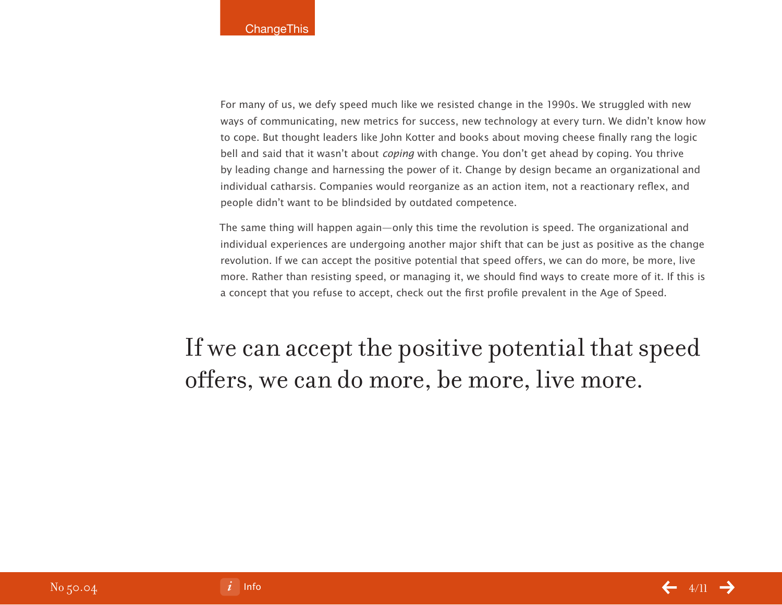For many of us, we defy speed much like we resisted change in the 1990s. We struggled with new ways of communicating, new metrics for success, new technology at every turn. We didn't know how to cope. But thought leaders like John Kotter and books about moving cheese finally rang the logic bell and said that it wasn't about *coping* with change. You don't get ahead by coping. You thrive by leading change and harnessing the power of it. Change by design became an organizational and individual catharsis. Companies would reorganize as an action item, not a reactionary reflex, and people didn't want to be blindsided by outdated competence.

The same thing will happen again—only this time the revolution is speed. The organizational and individual experiences are undergoing another major shift that can be just as positive as the change revolution. If we can accept the positive potential that speed offers, we can do more, be more, live more. Rather than resisting speed, or managing it, we should find ways to create more of it. If this is a concept that you refuse to accept, check out the first profile prevalent in the Age of Speed.

If we can accept the positive potential that speed offers, we can do more, be more, live more.

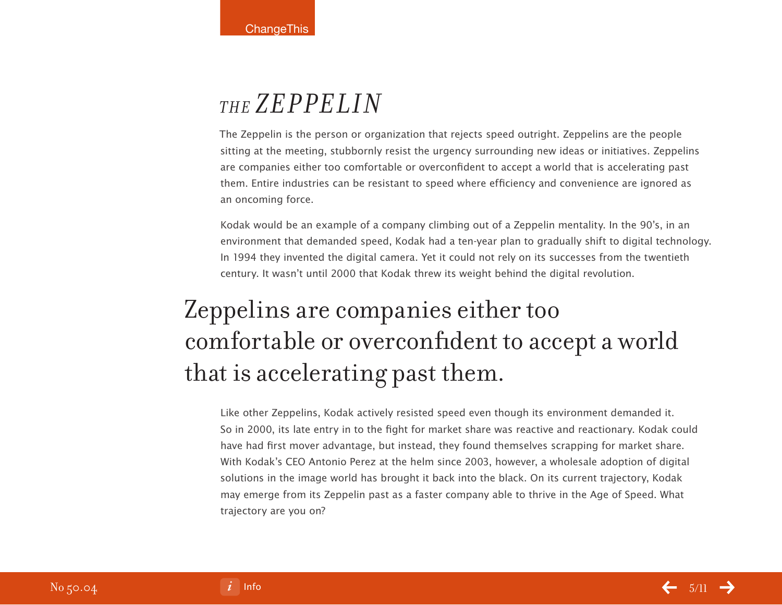### *The Zeppelin*

The Zeppelin is the person or organization that rejects speed outright. Zeppelins are the people sitting at the meeting, stubbornly resist the urgency surrounding new ideas or initiatives. Zeppelins are companies either too comfortable or overconfident to accept a world that is accelerating past them. Entire industries can be resistant to speed where efficiency and convenience are ignored as an oncoming force.

Kodak would be an example of a company climbing out of a Zeppelin mentality. In the 90's, in an environment that demanded speed, Kodak had a ten-year plan to gradually shift to digital technology. In 1994 they invented the digital camera. Yet it could not rely on its successes from the twentieth century. It wasn't until 2000 that Kodak threw its weight behind the digital revolution.

# Zeppelins are companies either too comfortable or overconfident to accept a world that is accelerating past them.

Like other Zeppelins, Kodak actively resisted speed even though its environment demanded it. So in 2000, its late entry in to the fight for market share was reactive and reactionary. Kodak could have had first mover advantage, but instead, they found themselves scrapping for market share. With Kodak's CEO Antonio Perez at the helm since 2003, however, a wholesale adoption of digital solutions in the image world has brought it back into the black. On its current trajectory, Kodak may emerge from its Zeppelin past as a faster company able to thrive in the Age of Speed. What trajectory are you on?

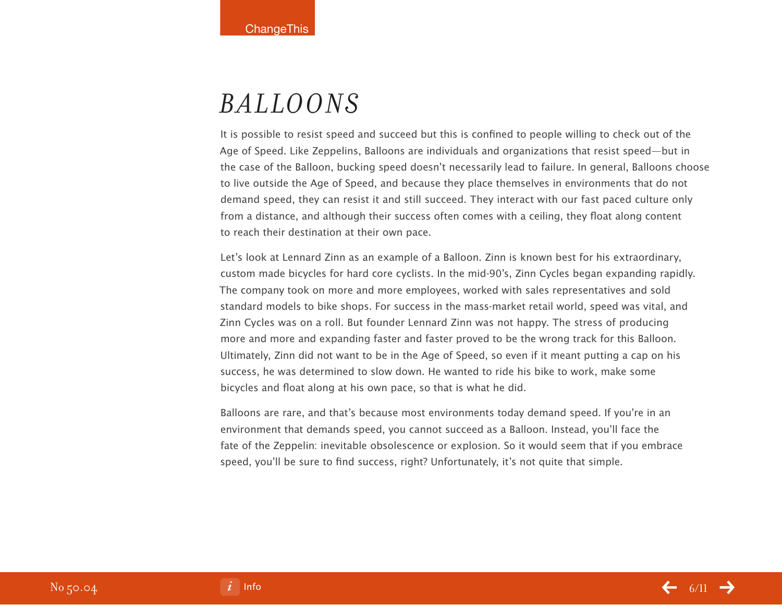### *Balloons*

It is possible to resist speed and succeed but this is confined to people willing to check out of the Age of Speed. Like Zeppelins, Balloons are individuals and organizations that resist speed—but in the case of the Balloon, bucking speed doesn't necessarily lead to failure. In general, Balloons choose to live outside the Age of Speed, and because they place themselves in environments that do not demand speed, they can resist it and still succeed. They interact with our fast paced culture only from a distance, and although their success often comes with a ceiling, they float along content to reach their destination at their own pace.

Let's look at Lennard Zinn as an example of a Balloon. Zinn is known best for his extraordinary, custom made bicycles for hard core cyclists. In the mid-90's, Zinn Cycles began expanding rapidly. The company took on more and more employees, worked with sales representatives and sold standard models to bike shops. For success in the mass-market retail world, speed was vital, and Zinn Cycles was on a roll. But founder Lennard Zinn was not happy. The stress of producing more and more and expanding faster and faster proved to be the wrong track for this Balloon. Ultimately, Zinn did not want to be in the Age of Speed, so even if it meant putting a cap on his success, he was determined to slow down. He wanted to ride his bike to work, make some bicycles and float along at his own pace, so that is what he did.

Balloons are rare, and that's because most environments today demand speed. If you're in an environment that demands speed, you cannot succeed as a Balloon. Instead, you'll face the fate of the Zeppelin: inevitable obsolescence or explosion. So it would seem that if you embrace speed, you'll be sure to find success, right? Unfortunately, it's not quite that simple.

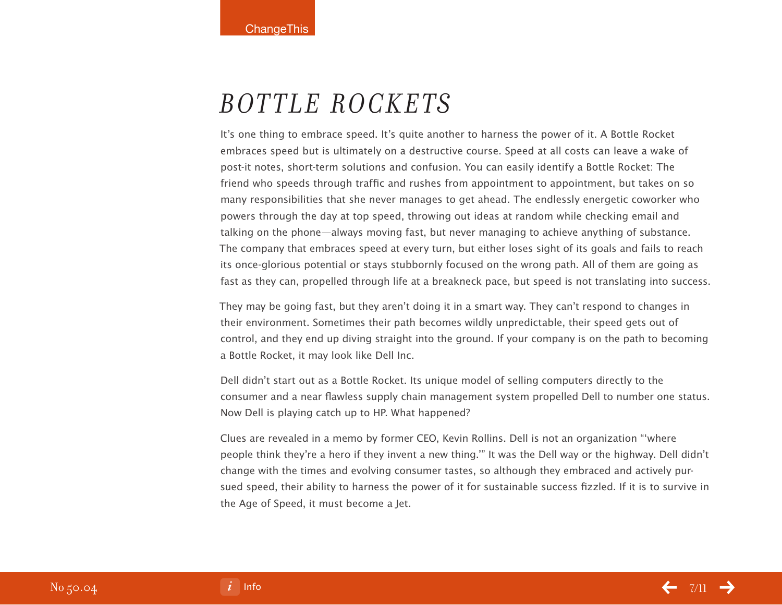### *Bottle Rockets*

It's one thing to embrace speed. It's quite another to harness the power of it. A Bottle Rocket embraces speed but is ultimately on a destructive course. Speed at all costs can leave a wake of post-it notes, short-term solutions and confusion. You can easily identify a Bottle Rocket: The friend who speeds through traffic and rushes from appointment to appointment, but takes on so many responsibilities that she never manages to get ahead. The endlessly energetic coworker who powers through the day at top speed, throwing out ideas at random while checking email and talking on the phone—always moving fast, but never managing to achieve anything of substance. The company that embraces speed at every turn, but either loses sight of its goals and fails to reach its once-glorious potential or stays stubbornly focused on the wrong path. All of them are going as fast as they can, propelled through life at a breakneck pace, but speed is not translating into success.

They may be going fast, but they aren't doing it in a smart way. They can't respond to changes in their environment. Sometimes their path becomes wildly unpredictable, their speed gets out of control, and they end up diving straight into the ground. If your company is on the path to becoming a Bottle Rocket, it may look like Dell Inc.

Dell didn't start out as a Bottle Rocket. Its unique model of selling computers directly to the consumer and a near flawless supply chain management system propelled Dell to number one status. Now Dell is playing catch up to HP. What happened?

Clues are revealed in a memo by former CEO, Kevin Rollins. Dell is not an organization "'where people think they're a hero if they invent a new thing.'" It was the Dell way or the highway. Dell didn't change with the times and evolving consumer tastes, so although they embraced and actively pursued speed, their ability to harness the power of it for sustainable success fizzled. If it is to survive in the Age of Speed, it must become a Jet.

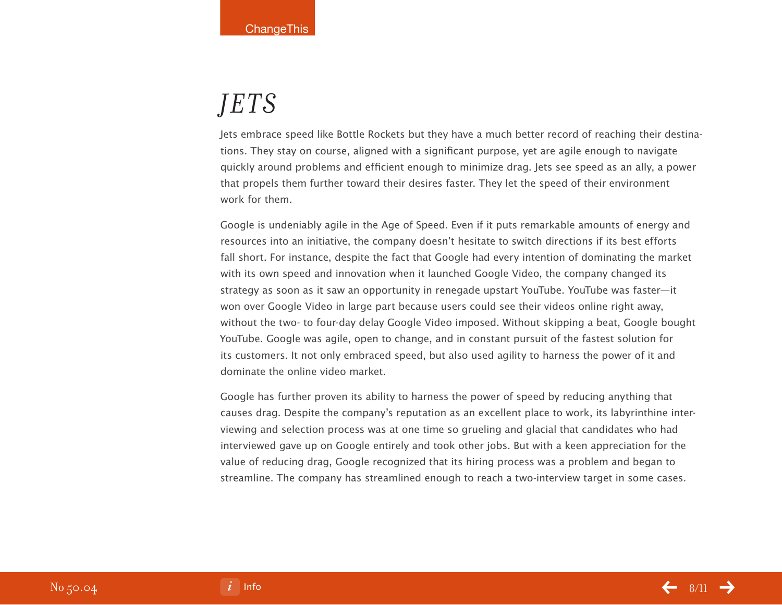## *Jets*

Jets embrace speed like Bottle Rockets but they have a much better record of reaching their destinations. They stay on course, aligned with a significant purpose, yet are agile enough to navigate quickly around problems and efficient enough to minimize drag. Jets see speed as an ally, a power that propels them further toward their desires faster. They let the speed of their environment work for them.

Google is undeniably agile in the Age of Speed. Even if it puts remarkable amounts of energy and resources into an initiative, the company doesn't hesitate to switch directions if its best efforts fall short. For instance, despite the fact that Google had every intention of dominating the market with its own speed and innovation when it launched Google Video, the company changed its strategy as soon as it saw an opportunity in renegade upstart YouTube. YouTube was faster—it won over Google Video in large part because users could see their videos online right away, without the two- to four-day delay Google Video imposed. Without skipping a beat, Google bought YouTube. Google was agile, open to change, and in constant pursuit of the fastest solution for its customers. It not only embraced speed, but also used agility to harness the power of it and dominate the online video market.

Google has further proven its ability to harness the power of speed by reducing anything that causes drag. Despite the company's reputation as an excellent place to work, its labyrinthine interviewing and selection process was at one time so grueling and glacial that candidates who had interviewed gave up on Google entirely and took other jobs. But with a keen appreciation for the value of reducing drag, Google recognized that its hiring process was a problem and began to streamline. The company has streamlined enough to reach a two-interview target in some cases.

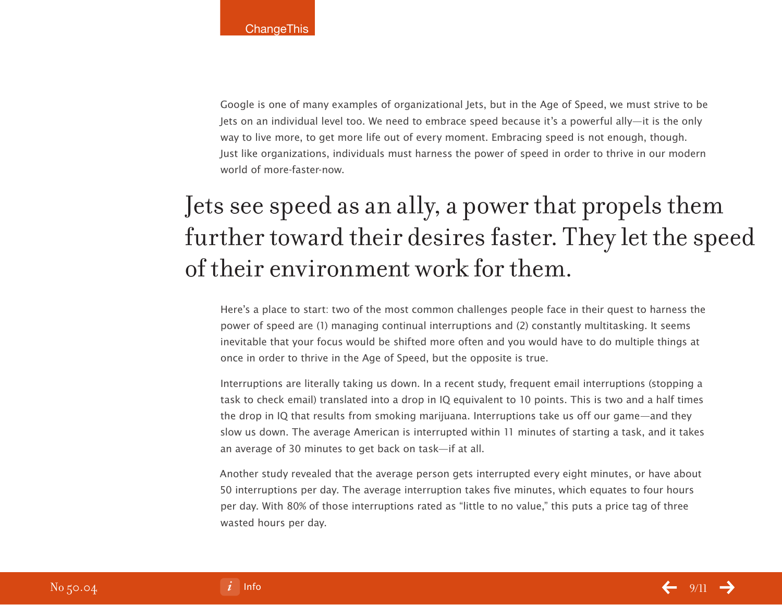Google is one of many examples of organizational Jets, but in the Age of Speed, we must strive to be Jets on an individual level too. We need to embrace speed because it's a powerful ally—it is the only way to live more, to get more life out of every moment. Embracing speed is not enough, though. Just like organizations, individuals must harness the power of speed in order to thrive in our modern world of more-faster-now.

# Jets see speed as an ally, a power that propels them further toward their desires faster. They let the speed of their environment work for them.

Here's a place to start: two of the most common challenges people face in their quest to harness the power of speed are (1) managing continual interruptions and (2) constantly multitasking. It seems inevitable that your focus would be shifted more often and you would have to do multiple things at once in order to thrive in the Age of Speed, but the opposite is true.

Interruptions are literally taking us down. In a recent study, frequent email interruptions (stopping a task to check email) translated into a drop in IQ equivalent to 10 points. This is two and a half times the drop in IQ that results from smoking marijuana. Interruptions take us off our game—and they slow us down. The average American is interrupted within 11 minutes of starting a task, and it takes an average of 30 minutes to get back on task—if at all.

Another study revealed that the average person gets interrupted every eight minutes, or have about 50 interruptions per day. The average interruption takes five minutes, which equates to four hours per day. With 80% of those interruptions rated as "little to no value," this puts a price tag of three wasted hours per day.

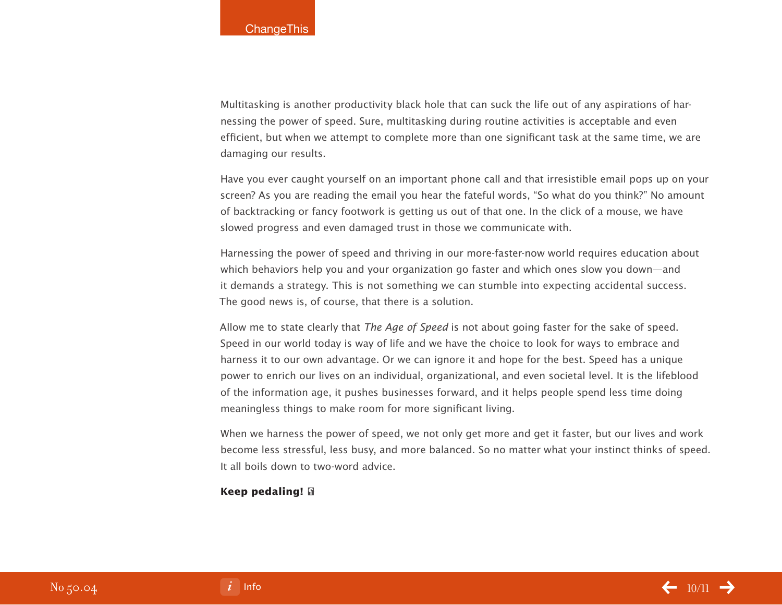Multitasking is another productivity black hole that can suck the life out of any aspirations of harnessing the power of speed. Sure, multitasking during routine activities is acceptable and even efficient, but when we attempt to complete more than one significant task at the same time, we are damaging our results.

Have you ever caught yourself on an important phone call and that irresistible email pops up on your screen? As you are reading the email you hear the fateful words, "So what do you think?" No amount of backtracking or fancy footwork is getting us out of that one. In the click of a mouse, we have slowed progress and even damaged trust in those we communicate with.

Harnessing the power of speed and thriving in our more-faster-now world requires education about which behaviors help you and your organization go faster and which ones slow you down—and it demands a strategy. This is not something we can stumble into expecting accidental success. The good news is, of course, that there is a solution.

Allow me to state clearly that The Age of Speed is not about going faster for the sake of speed. Speed in our world today is way of life and we have the choice to look for ways to embrace and harness it to our own advantage. Or we can ignore it and hope for the best. Speed has a unique power to enrich our lives on an individual, organizational, and even societal level. It is the lifeblood of the information age, it pushes businesses forward, and it helps people spend less time doing meaningless things to make room for more significant living.

When we harness the power of speed, we not only get more and get it faster, but our lives and work become less stressful, less busy, and more balanced. So no matter what your instinct thinks of speed. It all boils down to two-word advice.

#### **Keep pedaling!**